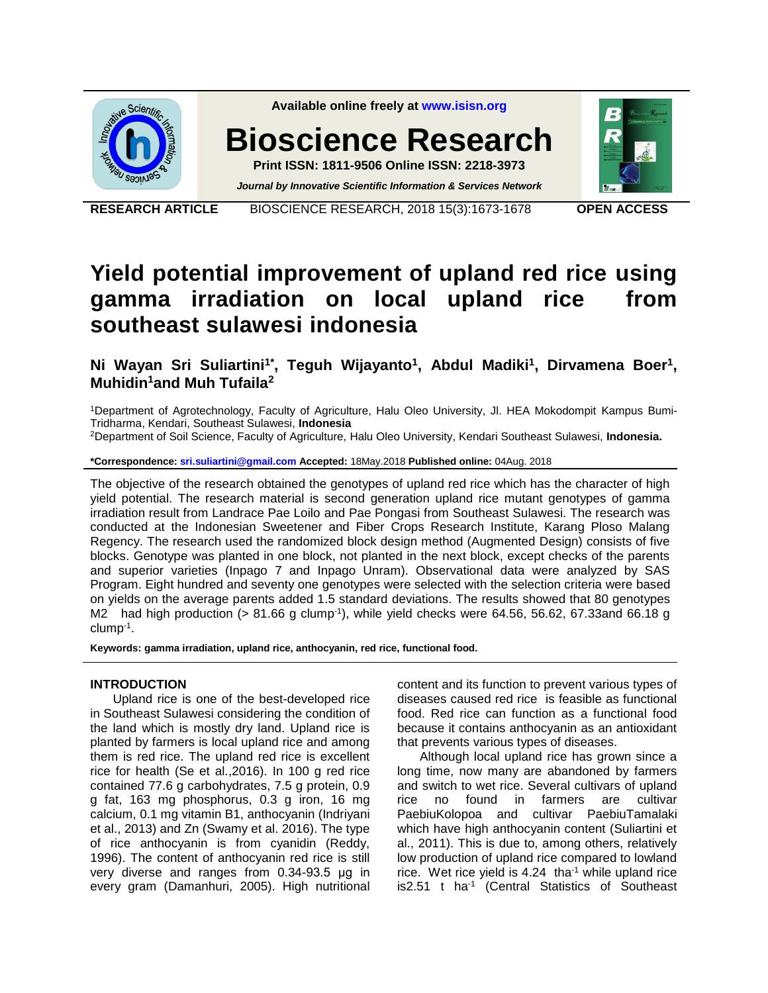

**RESEARCH ARTICLE** BIOSCIENCE RESEARCH, 2018 15(3):1673-1678 **OPEN ACCESS**

# **Yield potential improvement of upland red rice using gamma irradiation on local upland rice from southeast sulawesi indonesia**

**Ni Wayan Sri Suliartini1\*, Teguh Wijayanto<sup>1</sup> , Abdul Madiki<sup>1</sup> , Dirvamena Boer<sup>1</sup> , Muhidin<sup>1</sup>and Muh Tufaila<sup>2</sup>**

<sup>1</sup>Department of Agrotechnology, Faculty of Agriculture, Halu Oleo University, Jl. HEA Mokodompit Kampus Bumi-Tridharma, Kendari, Southeast Sulawesi, **Indonesia** 

<sup>2</sup>Department of Soil Science, Faculty of Agriculture, Halu Oleo University, Kendari Southeast Sulawesi, **Indonesia.**

**\*Correspondence: [sri.suliartini@gmail.com](mailto:sri.suliartini@gmail.com) Accepted:** 18May.2018 **Published online:** 04Aug. 2018

The objective of the research obtained the genotypes of upland red rice which has the character of high yield potential. The research material is second generation upland rice mutant genotypes of gamma irradiation result from Landrace Pae Loilo and Pae Pongasi from Southeast Sulawesi. The research was conducted at the Indonesian Sweetener and Fiber Crops Research Institute, Karang Ploso Malang Regency. The research used the randomized block design method (Augmented Design) consists of five blocks. Genotype was planted in one block, not planted in the next block, except checks of the parents and superior varieties (Inpago 7 and Inpago Unram). Observational data were analyzed by SAS Program. Eight hundred and seventy one genotypes were selected with the selection criteria were based on yields on the average parents added 1.5 standard deviations. The results showed that 80 genotypes M2 had high production (> 81.66 g clump<sup>-1</sup>), while yield checks were 64.56, 56.62, 67.33and 66.18 g clump-1 .

**Keywords: gamma irradiation, upland rice, anthocyanin, red rice, functional food.** 

#### **INTRODUCTION**

Upland rice is one of the best-developed rice in Southeast Sulawesi considering the condition of the land which is mostly dry land. Upland rice is planted by farmers is local upland rice and among them is red rice. The upland red rice is excellent rice for health (Se et al.,2016). In 100 g red rice contained 77.6 g carbohydrates, 7.5 g protein, 0.9 g fat, 163 mg phosphorus, 0.3 g iron, 16 mg calcium, 0.1 mg vitamin B1, anthocyanin (Indriyani et al., 2013) and Zn (Swamy et al. 2016). The type of rice anthocyanin is from cyanidin (Reddy, 1996). The content of anthocyanin red rice is still very diverse and ranges from 0.34-93.5 μg in every gram (Damanhuri, 2005). High nutritional content and its function to prevent various types of diseases caused red rice is feasible as functional food. Red rice can function as a functional food because it contains anthocyanin as an antioxidant that prevents various types of diseases.

Although local upland rice has grown since a long time, now many are abandoned by farmers and switch to wet rice. Several cultivars of upland rice no found in farmers are cultivar PaebiuKolopoa and cultivar PaebiuTamalaki which have high anthocyanin content (Suliartini et al., 2011). This is due to, among others, relatively low production of upland rice compared to lowland rice. Wet rice yield is  $4.24$  tha<sup>-1</sup> while upland rice is2.51 t ha<sup>-1</sup> (Central Statistics of Southeast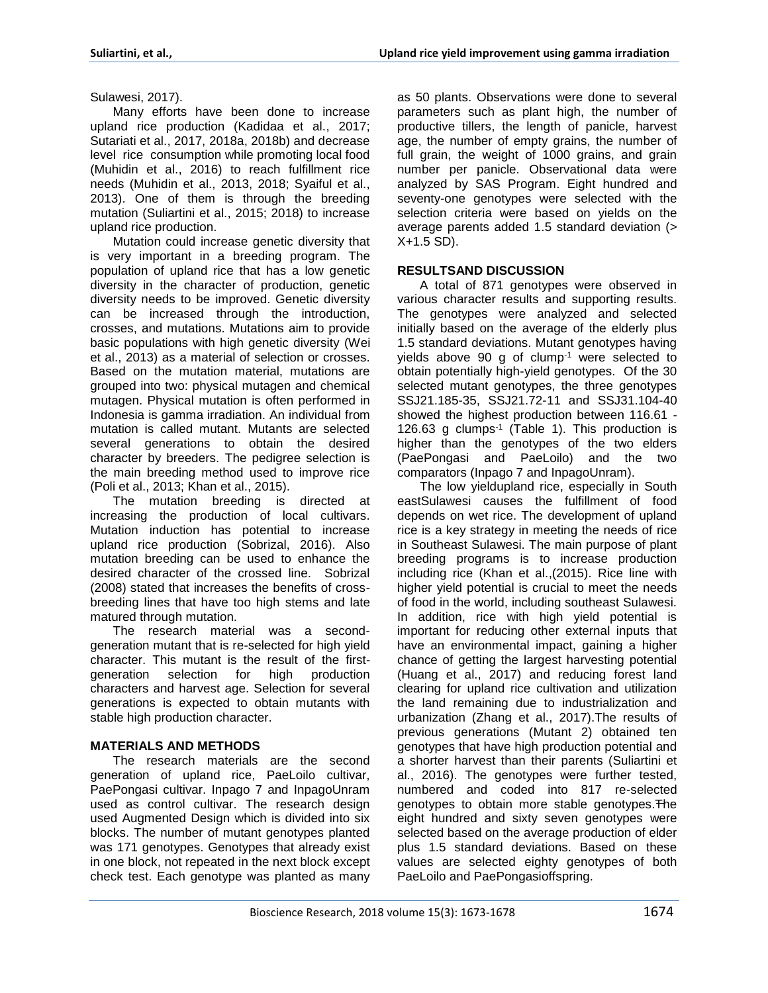Sulawesi, 2017).

Many efforts have been done to increase upland rice production (Kadidaa et al., 2017; Sutariati et al., 2017, 2018a, 2018b) and decrease level rice consumption while promoting local food (Muhidin et al., 2016) to reach fulfillment rice needs (Muhidin et al., 2013, 2018; Syaiful et al., 2013). One of them is through the breeding mutation (Suliartini et al., 2015; 2018) to increase upland rice production.

Mutation could increase genetic diversity that is very important in a breeding program. The population of upland rice that has a low genetic diversity in the character of production, genetic diversity needs to be improved. Genetic diversity can be increased through the introduction, crosses, and mutations. Mutations aim to provide basic populations with high genetic diversity (Wei et al., 2013) as a material of selection or crosses. Based on the mutation material, mutations are grouped into two: physical mutagen and chemical mutagen. Physical mutation is often performed in Indonesia is gamma irradiation. An individual from mutation is called mutant. Mutants are selected several generations to obtain the desired character by breeders. The pedigree selection is the main breeding method used to improve rice (Poli et al., 2013; Khan et al., 2015).

The mutation breeding is directed at increasing the production of local cultivars. Mutation induction has potential to increase upland rice production (Sobrizal, 2016). Also mutation breeding can be used to enhance the desired character of the crossed line. Sobrizal (2008) stated that increases the benefits of crossbreeding lines that have too high stems and late matured through mutation.

The research material was a secondgeneration mutant that is re-selected for high yield character. This mutant is the result of the firstgeneration selection for high production characters and harvest age. Selection for several generations is expected to obtain mutants with stable high production character.

# **MATERIALS AND METHODS**

The research materials are the second generation of upland rice, PaeLoilo cultivar, PaePongasi cultivar. Inpago 7 and InpagoUnram used as control cultivar. The research design used Augmented Design which is divided into six blocks. The number of mutant genotypes planted was 171 genotypes. Genotypes that already exist in one block, not repeated in the next block except check test. Each genotype was planted as many as 50 plants. Observations were done to several parameters such as plant high, the number of productive tillers, the length of panicle, harvest age, the number of empty grains, the number of full grain, the weight of 1000 grains, and grain number per panicle. Observational data were analyzed by SAS Program. Eight hundred and seventy-one genotypes were selected with the selection criteria were based on yields on the average parents added 1.5 standard deviation (> X+1.5 SD).

## **RESULTSAND DISCUSSION**

A total of 871 genotypes were observed in various character results and supporting results. The genotypes were analyzed and selected initially based on the average of the elderly plus 1.5 standard deviations. Mutant genotypes having yields above 90 g of clump-1 were selected to obtain potentially high-yield genotypes. Of the 30 selected mutant genotypes, the three genotypes SSJ21.185-35, SSJ21.72-11 and SSJ31.104-40 showed the highest production between 116.61 - 126.63 g clumps-1 (Table 1). This production is higher than the genotypes of the two elders (PaePongasi and PaeLoilo) and the two comparators (Inpago 7 and InpagoUnram).

The low yieldupland rice, especially in South eastSulawesi causes the fulfillment of food depends on wet rice. The development of upland rice is a key strategy in meeting the needs of rice in Southeast Sulawesi. The main purpose of plant breeding programs is to increase production including rice (Khan et al.,(2015). Rice line with higher yield potential is crucial to meet the needs of food in the world, including southeast Sulawesi. In addition, rice with high yield potential is important for reducing other external inputs that have an environmental impact, gaining a higher chance of getting the largest harvesting potential (Huang et al., 2017) and reducing forest land clearing for upland rice cultivation and utilization the land remaining due to industrialization and urbanization (Zhang et al., 2017).The results of previous generations (Mutant 2) obtained ten genotypes that have high production potential and a shorter harvest than their parents (Suliartini et al., 2016). The genotypes were further tested, numbered and coded into 817 re-selected genotypes to obtain more stable genotypes.The eight hundred and sixty seven genotypes were selected based on the average production of elder plus 1.5 standard deviations. Based on these values are selected eighty genotypes of both PaeLoilo and PaePongasioffspring.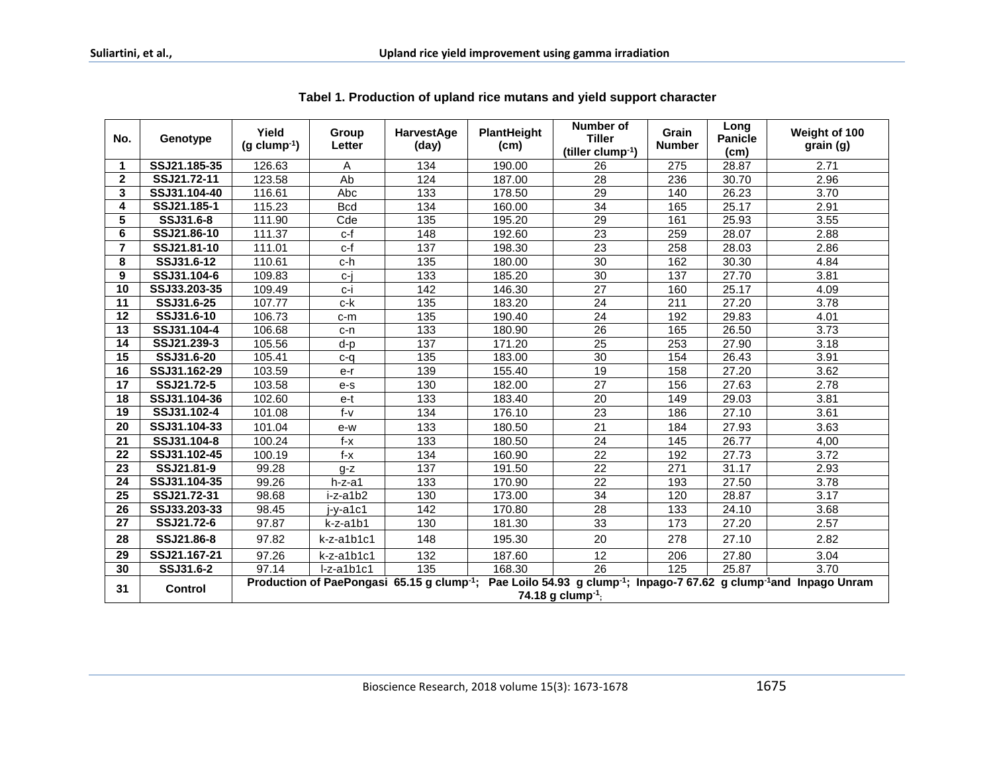| No.             | Genotype       | Yield<br>$(g \text{ clump}^{-1})$                                                                                                                                                     | Group<br>Letter | HarvestAge<br>(day) | <b>PlantHeight</b><br>(c <sub>m</sub> ) | Number of<br><b>Tiller</b><br>(tiller clump <sup>-1</sup> ) | Grain<br><b>Number</b> | Long<br>Panicle<br>(c <sub>m</sub> ) | Weight of 100<br>grain (g) |
|-----------------|----------------|---------------------------------------------------------------------------------------------------------------------------------------------------------------------------------------|-----------------|---------------------|-----------------------------------------|-------------------------------------------------------------|------------------------|--------------------------------------|----------------------------|
| 1               | SSJ21.185-35   | 126.63                                                                                                                                                                                | A               | 134                 | 190.00                                  | 26                                                          | 275                    | 28.87                                | 2.71                       |
| $\mathbf{2}$    | SSJ21.72-11    | 123.58                                                                                                                                                                                | Ab              | 124                 | 187.00                                  | 28                                                          | 236                    | 30.70                                | 2.96                       |
| 3               | SSJ31.104-40   | 116.61                                                                                                                                                                                | Abc             | 133                 | 178.50                                  | 29                                                          | 140                    | 26.23                                | 3.70                       |
| 4               | SSJ21.185-1    | 115.23                                                                                                                                                                                | <b>Bcd</b>      | 134                 | 160.00                                  | 34                                                          | 165                    | 25.17                                | 2.91                       |
| 5               | SSJ31.6-8      | 111.90                                                                                                                                                                                | Cde             | 135                 | 195.20                                  | $\overline{29}$                                             | 161                    | 25.93                                | 3.55                       |
| 6               | SSJ21.86-10    | 111.37                                                                                                                                                                                | c-f             | 148                 | 192.60                                  | 23                                                          | 259                    | 28.07                                | 2.88                       |
| 7               | SSJ21.81-10    | 111.01                                                                                                                                                                                | c-f             | 137                 | 198.30                                  | 23                                                          | 258                    | 28.03                                | 2.86                       |
| 8               | SSJ31.6-12     | 110.61                                                                                                                                                                                | c-h             | 135                 | 180.00                                  | 30                                                          | 162                    | 30.30                                | 4.84                       |
| 9               | SSJ31.104-6    | 109.83                                                                                                                                                                                | c-j             | 133                 | 185.20                                  | 30                                                          | 137                    | 27.70                                | 3.81                       |
| $\overline{10}$ | SSJ33.203-35   | 109.49                                                                                                                                                                                | c-i             | 142                 | 146.30                                  | 27                                                          | 160                    | 25.17                                | 4.09                       |
| $\overline{11}$ | SSJ31.6-25     | 107.77                                                                                                                                                                                | c-k             | 135                 | 183.20                                  | $\overline{24}$                                             | 211                    | 27.20                                | 3.78                       |
| $\overline{12}$ | SSJ31.6-10     | 106.73                                                                                                                                                                                | $c-m$           | 135                 | 190.40                                  | 24                                                          | 192                    | 29.83                                | 4.01                       |
| 13              | SSJ31.104-4    | 106.68                                                                                                                                                                                | c-n             | 133                 | 180.90                                  | 26                                                          | 165                    | 26.50                                | 3.73                       |
| 14              | SSJ21.239-3    | 105.56                                                                                                                                                                                | d-p             | 137                 | 171.20                                  | $\overline{25}$                                             | 253                    | 27.90                                | 3.18                       |
| 15              | SSJ31.6-20     | 105.41                                                                                                                                                                                | c-q             | 135                 | 183.00                                  | 30                                                          | 154                    | 26.43                                | 3.91                       |
| 16              | SSJ31.162-29   | 103.59                                                                                                                                                                                | e-r             | 139                 | 155.40                                  | 19                                                          | 158                    | 27.20                                | 3.62                       |
| 17              | SSJ21.72-5     | 103.58                                                                                                                                                                                | e-s             | 130                 | 182.00                                  | 27                                                          | 156                    | 27.63                                | 2.78                       |
| 18              | SSJ31.104-36   | 102.60                                                                                                                                                                                | e-t             | 133                 | 183.40                                  | 20                                                          | 149                    | 29.03                                | 3.81                       |
| 19              | SSJ31.102-4    | 101.08                                                                                                                                                                                | $f-v$           | 134                 | 176.10                                  | 23                                                          | 186                    | 27.10                                | 3.61                       |
| 20              | SSJ31.104-33   | 101.04                                                                                                                                                                                | e-w             | 133                 | 180.50                                  | 21                                                          | 184                    | 27.93                                | 3.63                       |
| 21              | SSJ31.104-8    | 100.24                                                                                                                                                                                | f-x             | 133                 | 180.50                                  | 24                                                          | 145                    | 26.77                                | 4,00                       |
| 22              | SSJ31.102-45   | 100.19                                                                                                                                                                                | f-x             | 134                 | 160.90                                  | 22                                                          | 192                    | 27.73                                | 3.72                       |
| 23              | SSJ21.81-9     | 99.28                                                                                                                                                                                 | $q-z$           | 137                 | 191.50                                  | 22                                                          | 271                    | 31.17                                | 2.93                       |
| 24              | SSJ31.104-35   | 99.26                                                                                                                                                                                 | h-z-a1          | 133                 | 170.90                                  | 22                                                          | 193                    | 27.50                                | 3.78                       |
| 25              | SSJ21.72-31    | 98.68                                                                                                                                                                                 | i-z-a1b2        | 130                 | 173.00                                  | 34                                                          | 120                    | 28.87                                | 3.17                       |
| 26              | SSJ33.203-33   | 98.45                                                                                                                                                                                 | j-y-a1c1        | 142                 | 170.80                                  | 28                                                          | 133                    | 24.10                                | 3.68                       |
| 27              | SSJ21.72-6     | 97.87                                                                                                                                                                                 | k-z-a1b1        | 130                 | 181.30                                  | 33                                                          | 173                    | 27.20                                | 2.57                       |
| 28              | SSJ21.86-8     | 97.82                                                                                                                                                                                 | $k-z-a1b1c1$    | 148                 | 195.30                                  | 20                                                          | 278                    | 27.10                                | 2.82                       |
| 29              | SSJ21.167-21   | 97.26                                                                                                                                                                                 | k-z-a1b1c1      | 132                 | 187.60                                  | 12                                                          | 206                    | 27.80                                | 3.04                       |
| 30              | SSJ31.6-2      | 97.14                                                                                                                                                                                 | $I-z-a1b1c1$    | 135                 | 168.30                                  | 26                                                          | 125                    | 25.87                                | 3.70                       |
| 31              | <b>Control</b> | Production of PaePongasi 65.15 g clump <sup>-1</sup> ; Pae Loilo 54.93 g clump <sup>-1</sup> ; Inpago-7 67.62 g clump <sup>-1</sup> and Inpago Unram<br>74.18 g clump <sup>-1</sup> ; |                 |                     |                                         |                                                             |                        |                                      |                            |

## Tabel 1. Production of upland rice mutans and yield support character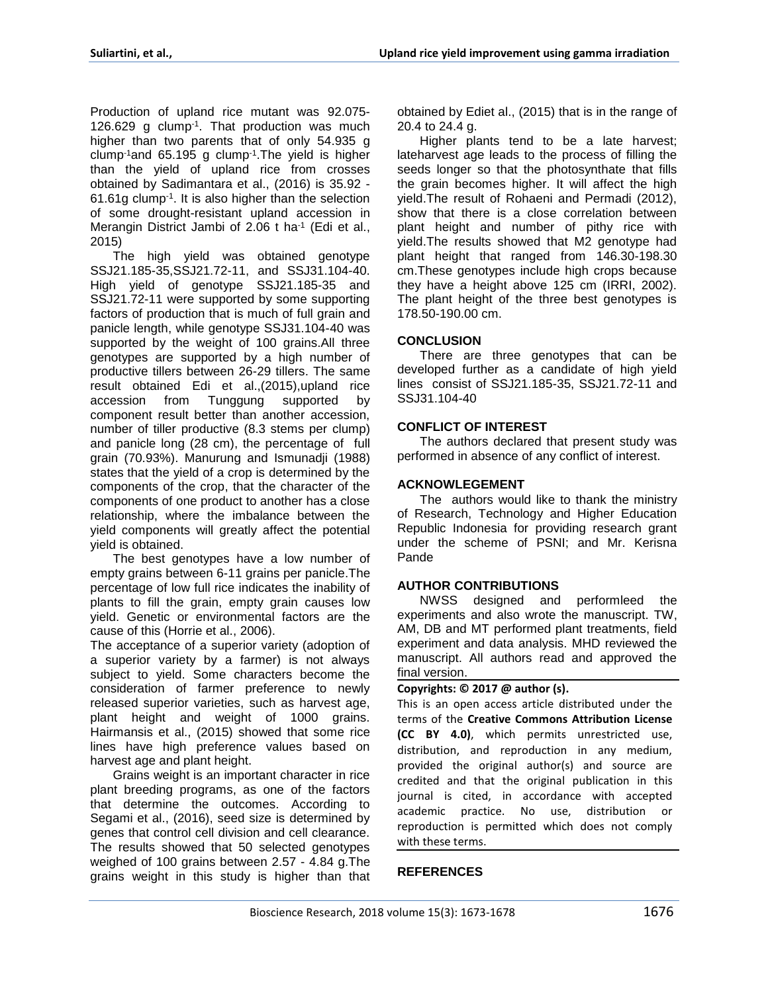Production of upland rice mutant was 92.075- 126.629 g clump-1 . That production was much higher than two parents that of only 54.935 g clump-1and 65.195 g clump-1 .The yield is higher than the yield of upland rice from crosses obtained by Sadimantara et al., (2016) is 35.92 - 61.61g clump-1 . It is also higher than the selection of some drought-resistant upland accession in Merangin District Jambi of 2.06 t ha<sup>-1</sup> (Edi et al., 2015)

The high yield was obtained genotype SSJ21.185-35,SSJ21.72-11, and SSJ31.104-40. High yield of genotype SSJ21.185-35 and SSJ21.72-11 were supported by some supporting factors of production that is much of full grain and panicle length, while genotype SSJ31.104-40 was supported by the weight of 100 grains.All three genotypes are supported by a high number of productive tillers between 26-29 tillers. The same result obtained Edi et al.,(2015),upland rice accession from Tunggung supported by component result better than another accession, number of tiller productive (8.3 stems per clump) and panicle long (28 cm), the percentage of full grain (70.93%). Manurung and Ismunadji (1988) states that the yield of a crop is determined by the components of the crop, that the character of the components of one product to another has a close relationship, where the imbalance between the yield components will greatly affect the potential yield is obtained.

The best genotypes have a low number of empty grains between 6-11 grains per panicle.The percentage of low full rice indicates the inability of plants to fill the grain, empty grain causes low yield. Genetic or environmental factors are the cause of this (Horrie et al., 2006).

The acceptance of a superior variety (adoption of a superior variety by a farmer) is not always subject to yield. Some characters become the consideration of farmer preference to newly released superior varieties, such as harvest age, plant height and weight of 1000 grains. Hairmansis et al., (2015) showed that some rice lines have high preference values based on harvest age and plant height.

Grains weight is an important character in rice plant breeding programs, as one of the factors that determine the outcomes. According to Segami et al., (2016), seed size is determined by genes that control cell division and cell clearance. The results showed that 50 selected genotypes weighed of 100 grains between 2.57 - 4.84 g.The grains weight in this study is higher than that obtained by Ediet al., (2015) that is in the range of 20.4 to 24.4 g.

Higher plants tend to be a late harvest; lateharvest age leads to the process of filling the seeds longer so that the photosynthate that fills the grain becomes higher. It will affect the high yield.The result of Rohaeni and Permadi (2012), show that there is a close correlation between plant height and number of pithy rice with yield.The results showed that M2 genotype had plant height that ranged from 146.30-198.30 cm.These genotypes include high crops because they have a height above 125 cm (IRRI, 2002). The plant height of the three best genotypes is 178.50-190.00 cm.

#### **CONCLUSION**

There are three genotypes that can be developed further as a candidate of high yield lines consist of SSJ21.185-35, SSJ21.72-11 and SSJ31.104-40

## **CONFLICT OF INTEREST**

The authors declared that present study was performed in absence of any conflict of interest.

#### **ACKNOWLEGEMENT**

The authors would like to thank the ministry of Research, Technology and Higher Education Republic Indonesia for providing research grant under the scheme of PSNI; and Mr. Kerisna Pande

#### **AUTHOR CONTRIBUTIONS**

NWSS designed and performleed the experiments and also wrote the manuscript. TW, AM, DB and MT performed plant treatments, field experiment and data analysis. MHD reviewed the manuscript. All authors read and approved the final version.

#### **Copyrights: © 2017 @ author (s).**

This is an open access article distributed under the terms of the **Creative Commons Attribution License (CC BY 4.0)**, which permits unrestricted use, distribution, and reproduction in any medium, provided the original author(s) and source are credited and that the original publication in this journal is cited, in accordance with accepted academic practice. No use, distribution or reproduction is permitted which does not comply with these terms.

# **REFERENCES**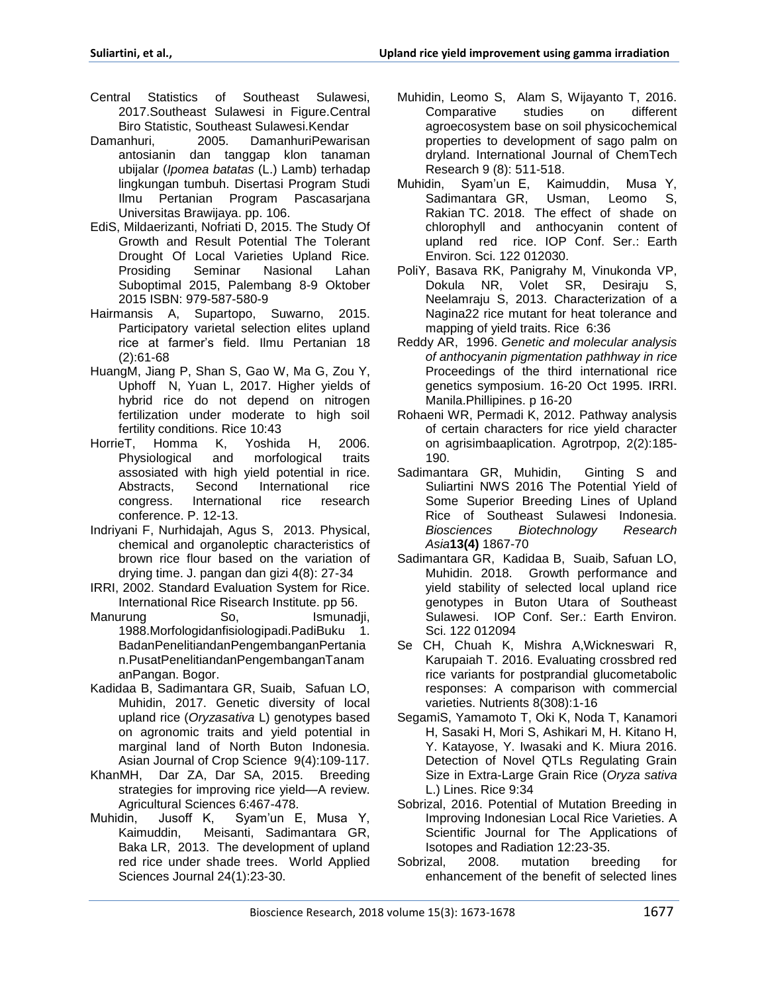- Central Statistics of Southeast Sulawesi, 2017.Southeast Sulawesi in Figure.Central Biro Statistic, Southeast Sulawesi.Kendar
- Damanhuri, 2005. DamanhuriPewarisan antosianin dan tanggap klon tanaman ubijalar (*Ipomea batatas* (L.) Lamb) terhadap lingkungan tumbuh. Disertasi Program Studi Ilmu Pertanian Program Pascasarjana Universitas Brawijaya. pp. 106.
- EdiS, Mildaerizanti, Nofriati D, 2015. The Study Of Growth and Result Potential The Tolerant Drought Of Local Varieties Upland Rice*.*  Prosiding Seminar Nasional Lahan Suboptimal 2015, Palembang 8-9 Oktober 2015 ISBN: 979-587-580-9
- Hairmansis A, Supartopo, Suwarno, 2015. Participatory varietal selection elites upland rice at farmer's field. Ilmu Pertanian 18 (2):61-68
- HuangM, Jiang P, Shan S, Gao W, Ma G, Zou Y, Uphoff N, Yuan L, 2017. Higher yields of hybrid rice do not depend on nitrogen fertilization under moderate to high soil fertility conditions. Rice 10:43
- HorrieT, Homma K, Yoshida H, 2006. Physiological and morfological traits assosiated with high yield potential in rice. Abstracts, Second International rice congress. International rice research conference. P. 12-13.
- Indriyani F, Nurhidajah, Agus S, 2013. Physical, chemical and organoleptic characteristics of brown rice flour based on the variation of drying time. J. pangan dan gizi 4(8): 27-34
- IRRI, 2002. Standard Evaluation System for Rice. International Rice Risearch Institute. pp 56.
- Manurung So, So, Ismunadji, 1988.Morfologidanfisiologipadi.PadiBuku 1. BadanPenelitiandanPengembanganPertania n.PusatPenelitiandanPengembanganTanam anPangan. Bogor.
- Kadidaa B, Sadimantara GR, Suaib, Safuan LO, Muhidin, 2017. Genetic diversity of local upland rice (*Oryzasativa* L) genotypes based on agronomic traits and yield potential in marginal land of North Buton Indonesia. Asian Journal of Crop Science 9(4):109-117.
- KhanMH, Dar ZA, Dar SA, 2015. Breeding strategies for improving rice yield—A review. Agricultural Sciences 6:467-478.
- Muhidin, Jusoff K, Syam'un E, Musa Y, Kaimuddin, Meisanti, Sadimantara GR, Baka LR, 2013. The development of upland red rice under shade trees. World Applied Sciences Journal 24(1):23-30.
- Muhidin, Leomo S, Alam S, Wijayanto T, 2016. Comparative studies on different agroecosystem base on soil physicochemical properties to development of sago palm on dryland. International Journal of ChemTech Research 9 (8): 511-518.
- Muhidin, Syam'un E, Kaimuddin, Musa Y, Sadimantara GR, Usman, Leomo S, Rakian TC. 2018. The effect of shade on chlorophyll and anthocyanin content of upland red rice. IOP Conf. Ser.: Earth Environ. Sci. 122 012030.
- PoliY, Basava RK, Panigrahy M, Vinukonda VP, Dokula NR, Volet SR, Desiraju S, Neelamraju S, 2013. Characterization of a Nagina22 rice mutant for heat tolerance and mapping of yield traits. Rice 6:36
- Reddy AR, 1996. *Genetic and molecular analysis of anthocyanin pigmentation pathhway in rice* Proceedings of the third international rice genetics symposium. 16-20 Oct 1995. IRRI. Manila.Phillipines. p 16-20
- Rohaeni WR, Permadi K, 2012. Pathway analysis of certain characters for rice yield character on agrisimbaaplication. Agrotrpop, 2(2):185- 190.
- Sadimantara GR, Muhidin, Ginting S and Suliartini NWS 2016 The Potential Yield of Some Superior Breeding Lines of Upland Rice of Southeast Sulawesi Indonesia. *Biosciences Biotechnology Research Asia***13(4)** 1867-70
- Sadimantara GR, Kadidaa B, Suaib, Safuan LO, Muhidin. 2018. Growth performance and yield stability of selected local upland rice genotypes in Buton Utara of Southeast Sulawesi. IOP Conf. Ser.: Earth Environ. Sci. 122 012094
- Se CH, Chuah K, Mishra A,Wickneswari R, Karupaiah T. 2016. Evaluating crossbred red rice variants for postprandial glucometabolic responses: A comparison with commercial varieties. Nutrients 8(308):1-16
- SegamiS, Yamamoto T, Oki K, Noda T, Kanamori H, Sasaki H, Mori S, Ashikari M, H. Kitano H, Y. Katayose, Y. Iwasaki and K. Miura 2016. Detection of Novel QTLs Regulating Grain Size in Extra-Large Grain Rice (*Oryza sativa* L.) Lines. Rice 9:34
- Sobrizal, 2016. Potential of Mutation Breeding in Improving Indonesian Local Rice Varieties. A Scientific Journal for The Applications of Isotopes and Radiation 12:23-35.
- Sobrizal, 2008. mutation breeding for enhancement of the benefit of selected lines